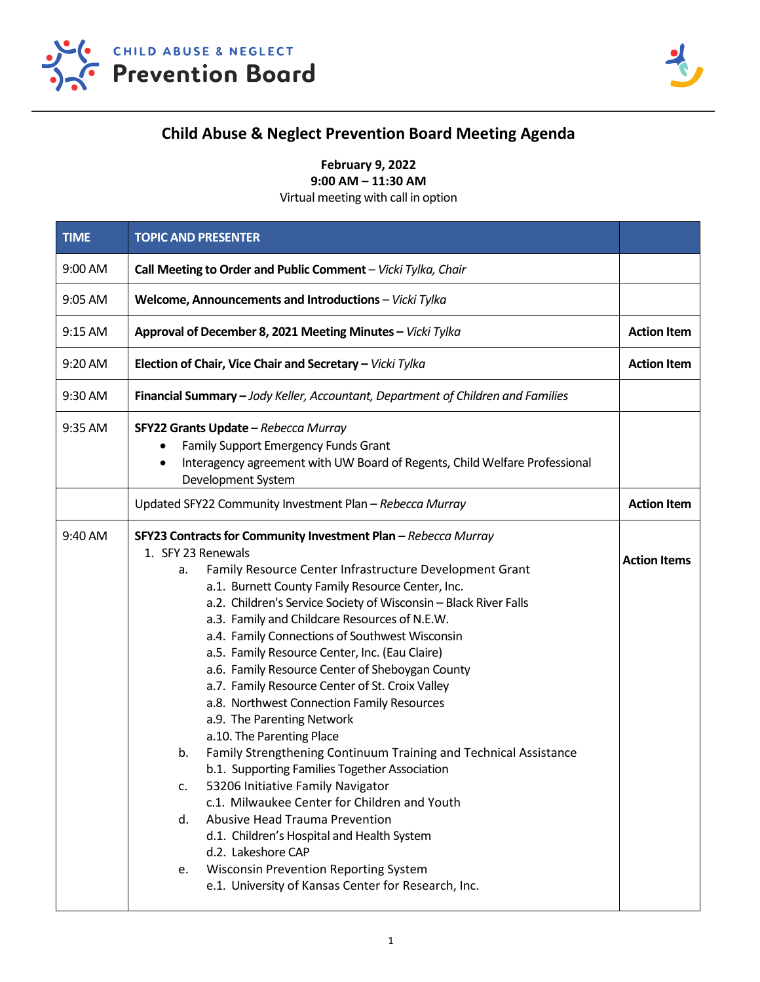



## **Child Abuse & Neglect Prevention Board Meeting Agenda**

**February 9, 2022**

**9:00 AM – 11:30 AM**

Virtual meeting with call in option

| <b>TIME</b> | <b>TOPIC AND PRESENTER</b>                                                                                                                                                                                                                                                                                                                                                                                                                                                                                                                                                                                                                                                                                                                                                                                                                                                                                                                                                                                                                                                                       |                     |
|-------------|--------------------------------------------------------------------------------------------------------------------------------------------------------------------------------------------------------------------------------------------------------------------------------------------------------------------------------------------------------------------------------------------------------------------------------------------------------------------------------------------------------------------------------------------------------------------------------------------------------------------------------------------------------------------------------------------------------------------------------------------------------------------------------------------------------------------------------------------------------------------------------------------------------------------------------------------------------------------------------------------------------------------------------------------------------------------------------------------------|---------------------|
| 9:00 AM     | Call Meeting to Order and Public Comment - Vicki Tylka, Chair                                                                                                                                                                                                                                                                                                                                                                                                                                                                                                                                                                                                                                                                                                                                                                                                                                                                                                                                                                                                                                    |                     |
| 9:05 AM     | Welcome, Announcements and Introductions - Vicki Tylka                                                                                                                                                                                                                                                                                                                                                                                                                                                                                                                                                                                                                                                                                                                                                                                                                                                                                                                                                                                                                                           |                     |
| 9:15 AM     | Approval of December 8, 2021 Meeting Minutes - Vicki Tylka                                                                                                                                                                                                                                                                                                                                                                                                                                                                                                                                                                                                                                                                                                                                                                                                                                                                                                                                                                                                                                       | <b>Action Item</b>  |
| 9:20 AM     | Election of Chair, Vice Chair and Secretary - Vicki Tylka                                                                                                                                                                                                                                                                                                                                                                                                                                                                                                                                                                                                                                                                                                                                                                                                                                                                                                                                                                                                                                        | <b>Action Item</b>  |
| 9:30 AM     | Financial Summary - Jody Keller, Accountant, Department of Children and Families                                                                                                                                                                                                                                                                                                                                                                                                                                                                                                                                                                                                                                                                                                                                                                                                                                                                                                                                                                                                                 |                     |
| 9:35 AM     | SFY22 Grants Update - Rebecca Murray<br>Family Support Emergency Funds Grant<br>٠<br>Interagency agreement with UW Board of Regents, Child Welfare Professional<br>٠<br>Development System                                                                                                                                                                                                                                                                                                                                                                                                                                                                                                                                                                                                                                                                                                                                                                                                                                                                                                       |                     |
|             | Updated SFY22 Community Investment Plan - Rebecca Murray                                                                                                                                                                                                                                                                                                                                                                                                                                                                                                                                                                                                                                                                                                                                                                                                                                                                                                                                                                                                                                         | <b>Action Item</b>  |
| 9:40 AM     | SFY23 Contracts for Community Investment Plan - Rebecca Murray<br>1. SFY 23 Renewals<br>Family Resource Center Infrastructure Development Grant<br>a.<br>a.1. Burnett County Family Resource Center, Inc.<br>a.2. Children's Service Society of Wisconsin - Black River Falls<br>a.3. Family and Childcare Resources of N.E.W.<br>a.4. Family Connections of Southwest Wisconsin<br>a.5. Family Resource Center, Inc. (Eau Claire)<br>a.6. Family Resource Center of Sheboygan County<br>a.7. Family Resource Center of St. Croix Valley<br>a.8. Northwest Connection Family Resources<br>a.9. The Parenting Network<br>a.10. The Parenting Place<br>Family Strengthening Continuum Training and Technical Assistance<br>b.<br>b.1. Supporting Families Together Association<br>53206 Initiative Family Navigator<br>c.<br>c.1. Milwaukee Center for Children and Youth<br>Abusive Head Trauma Prevention<br>d.<br>d.1. Children's Hospital and Health System<br>d.2. Lakeshore CAP<br><b>Wisconsin Prevention Reporting System</b><br>е.<br>e.1. University of Kansas Center for Research, Inc. | <b>Action Items</b> |